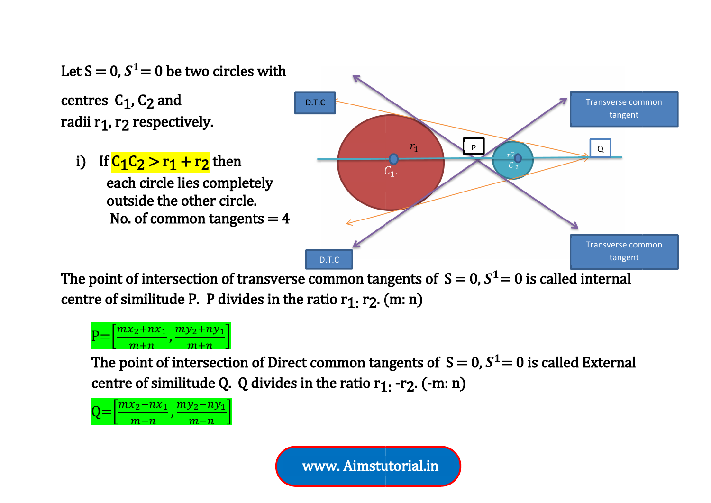

The point of intersection of transverse common tangents of  $S = 0$ ,  $S^1 = 0$  is called internal The point of intersection of transverse comm<br>centre of similitude P. P divides in the ratio r of intersection of transverse common tangents<br>:imilitude P. P divides in the ratio r<sub>1:</sub> r<sub>2</sub>. (m: n)



The point of intersection of Direct common tangents of  $\,S=0, S^1\!=0$  is called External The point of intersection of Direct common tangents of  $S =$ centre of similitude Q. Q divides in the ratio r<sub>1:</sub> -r<sub>2</sub>. (-m: n)  $\begin{array}{ll} \text{\tiny D.T.C} \text{\tiny o}{\rm mmon}\ \text{\small ta}\ \text{\small ito}\ \text{\small r}_1\text{\small ;}\ \text{\small r}_2 \text{\small .} \end{array}$ ommon ta



www. www. Aimstutorial.in Aimstutorial.in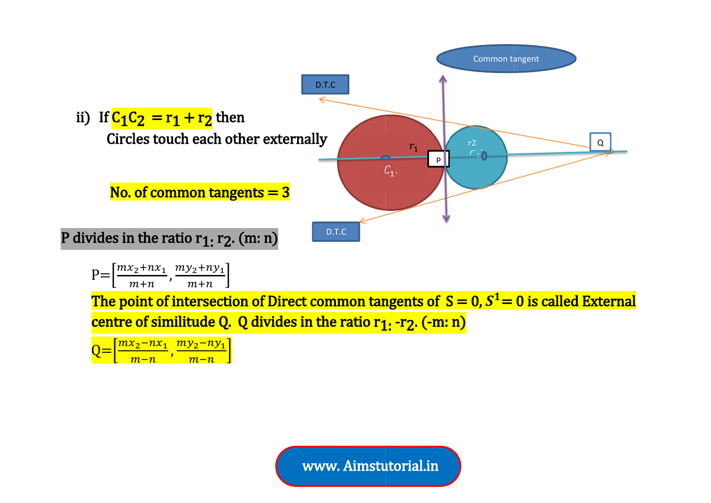

www. www. Aimstutorial.in Aimstutorial.in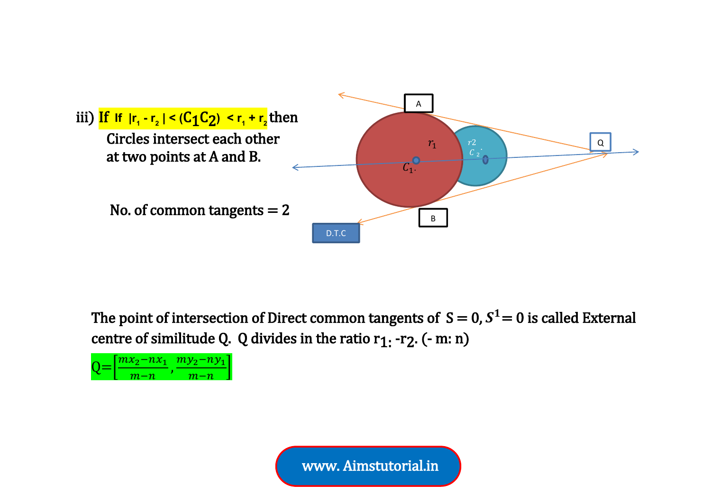![](_page_2_Figure_0.jpeg)

The point of intersection of Direct common tangents of  $\,S=0$ ,  $S^1\!=0$  is called External centre of similitude Q. Q divides in the ratio  $r_1$ . -r<sub>2</sub>. (- m: n)

![](_page_2_Picture_2.jpeg)

www. Aimstutorial.in